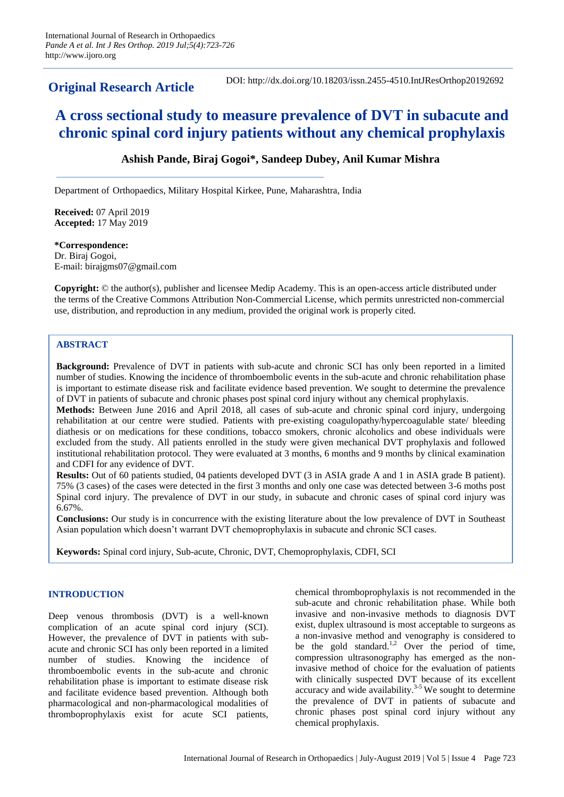**Original Research Article**

DOI: http://dx.doi.org/10.18203/issn.2455-4510.IntJResOrthop20192692

# **A cross sectional study to measure prevalence of DVT in subacute and chronic spinal cord injury patients without any chemical prophylaxis**

# **Ashish Pande, Biraj Gogoi\*, Sandeep Dubey, Anil Kumar Mishra**

Department of Orthopaedics, Military Hospital Kirkee, Pune, Maharashtra, India

**Received:** 07 April 2019 **Accepted:** 17 May 2019

**\*Correspondence:** Dr. Biraj Gogoi, E-mail: birajgms07@gmail.com

**Copyright:** © the author(s), publisher and licensee Medip Academy. This is an open-access article distributed under the terms of the Creative Commons Attribution Non-Commercial License, which permits unrestricted non-commercial use, distribution, and reproduction in any medium, provided the original work is properly cited.

# **ABSTRACT**

**Background:** Prevalence of DVT in patients with sub-acute and chronic SCI has only been reported in a limited number of studies. Knowing the incidence of thromboembolic events in the sub-acute and chronic rehabilitation phase is important to estimate disease risk and facilitate evidence based prevention. We sought to determine the prevalence of DVT in patients of subacute and chronic phases post spinal cord injury without any chemical prophylaxis.

**Methods:** Between June 2016 and April 2018, all cases of sub-acute and chronic spinal cord injury, undergoing rehabilitation at our centre were studied. Patients with pre-existing coagulopathy/hypercoagulable state/ bleeding diathesis or on medications for these conditions, tobacco smokers, chronic alcoholics and obese individuals were excluded from the study. All patients enrolled in the study were given mechanical DVT prophylaxis and followed institutional rehabilitation protocol. They were evaluated at 3 months, 6 months and 9 months by clinical examination and CDFI for any evidence of DVT.

**Results:** Out of 60 patients studied, 04 patients developed DVT (3 in ASIA grade A and 1 in ASIA grade B patient). 75% (3 cases) of the cases were detected in the first 3 months and only one case was detected between 3-6 moths post Spinal cord injury. The prevalence of DVT in our study, in subacute and chronic cases of spinal cord injury was 6.67%.

**Conclusions:** Our study is in concurrence with the existing literature about the low prevalence of DVT in Southeast Asian population which doesn't warrant DVT chemoprophylaxis in subacute and chronic SCI cases.

**Keywords:** Spinal cord injury, Sub-acute, Chronic, DVT, Chemoprophylaxis, CDFI, SCI

# **INTRODUCTION**

Deep venous thrombosis (DVT) is a well-known complication of an acute spinal cord injury (SCI). However, the prevalence of DVT in patients with subacute and chronic SCI has only been reported in a limited number of studies. Knowing the incidence of thromboembolic events in the sub-acute and chronic rehabilitation phase is important to estimate disease risk and facilitate evidence based prevention. Although both pharmacological and non-pharmacological modalities of thromboprophylaxis exist for acute SCI patients, chemical thromboprophylaxis is not recommended in the sub-acute and chronic rehabilitation phase. While both invasive and non-invasive methods to diagnosis DVT exist, duplex ultrasound is most acceptable to surgeons as a non-invasive method and venography is considered to be the gold standard. $^{1,2}$  Over the period of time, compression ultrasonography has emerged as the noninvasive method of choice for the evaluation of patients with clinically suspected DVT because of its excellent accuracy and wide availability. 3-5 We sought to determine the prevalence of DVT in patients of subacute and chronic phases post spinal cord injury without any chemical prophylaxis.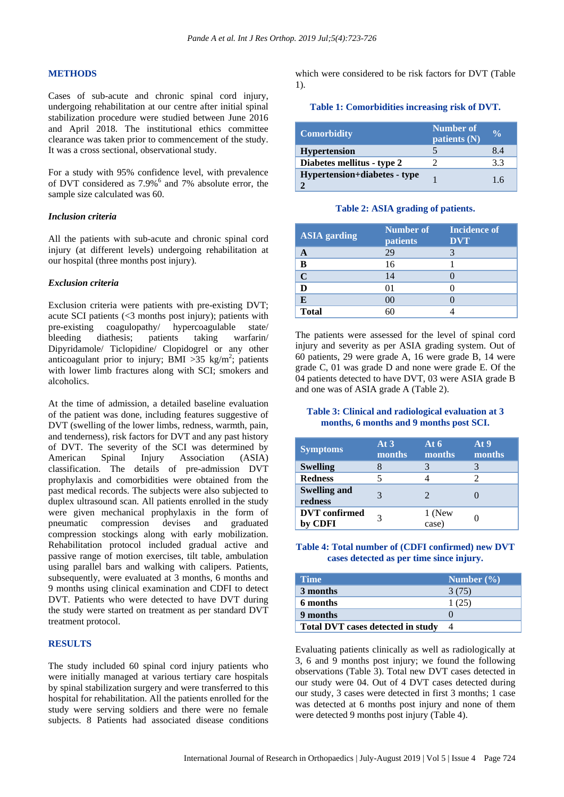#### **METHODS**

Cases of sub-acute and chronic spinal cord injury, undergoing rehabilitation at our centre after initial spinal stabilization procedure were studied between June 2016 and April 2018. The institutional ethics committee clearance was taken prior to commencement of the study. It was a cross sectional, observational study.

For a study with 95% confidence level, with prevalence of DVT considered as 7.9%<sup>6</sup> and 7% absolute error, the sample size calculated was 60.

#### *Inclusion criteria*

All the patients with sub-acute and chronic spinal cord injury (at different levels) undergoing rehabilitation at our hospital (three months post injury).

#### *Exclusion criteria*

Exclusion criteria were patients with pre-existing DVT; acute SCI patients (<3 months post injury); patients with pre-existing coagulopathy/ hypercoagulable state/ bleeding diathesis; patients taking warfarin/ Dipyridamole/ Ticlopidine/ Clopidogrel or any other anticoagulant prior to injury;  $\overline{BMI} > 35$  kg/m<sup>2</sup>; patients with lower limb fractures along with SCI; smokers and alcoholics.

At the time of admission, a detailed baseline evaluation of the patient was done, including features suggestive of DVT (swelling of the lower limbs, redness, warmth, pain, and tenderness), risk factors for DVT and any past history of DVT. The severity of the SCI was determined by American Spinal Injury Association (ASIA) classification. The details of pre-admission DVT prophylaxis and comorbidities were obtained from the past medical records. The subjects were also subjected to duplex ultrasound scan. All patients enrolled in the study were given mechanical prophylaxis in the form of pneumatic compression devises and graduated compression stockings along with early mobilization. Rehabilitation protocol included gradual active and passive range of motion exercises, tilt table, ambulation using parallel bars and walking with calipers. Patients, subsequently, were evaluated at 3 months, 6 months and 9 months using clinical examination and CDFI to detect DVT. Patients who were detected to have DVT during the study were started on treatment as per standard DVT treatment protocol.

#### **RESULTS**

The study included 60 spinal cord injury patients who were initially managed at various tertiary care hospitals by spinal stabilization surgery and were transferred to this hospital for rehabilitation. All the patients enrolled for the study were serving soldiers and there were no female subjects. 8 Patients had associated disease conditions which were considered to be risk factors for DVT (Table 1).

#### **Table 1: Comorbidities increasing risk of DVT.**

| <b>Comorbidity</b>           | <b>Number of</b><br>patients (N) | $\frac{0}{0}$ |
|------------------------------|----------------------------------|---------------|
| <b>Hypertension</b>          |                                  | 8.4           |
| Diabetes mellitus - type 2   |                                  | 3.3           |
| Hypertension+diabetes - type |                                  | 16            |

**Table 2: ASIA grading of patients.**

| <b>ASIA</b> garding | Number of<br><b>patients</b> | <b>Incidence of</b><br><b>DVT</b> |
|---------------------|------------------------------|-----------------------------------|
|                     | 29                           |                                   |
| B                   | 16                           |                                   |
| $\mathbf C$         | 14                           |                                   |
| D                   |                              |                                   |
| E                   | 00                           |                                   |
| <b>Total</b>        |                              |                                   |

The patients were assessed for the level of spinal cord injury and severity as per ASIA grading system. Out of 60 patients, 29 were grade A, 16 were grade B, 14 were grade C, 01 was grade D and none were grade E. Of the 04 patients detected to have DVT, 03 were ASIA grade B and one was of ASIA grade A (Table 2).

## **Table 3: Clinical and radiological evaluation at 3 months, 6 months and 9 months post SCI.**

| <b>Symptoms</b>                 | At $3$<br>months | At 6<br>months  | At <sub>9</sub><br>months |
|---------------------------------|------------------|-----------------|---------------------------|
| <b>Swelling</b>                 |                  |                 |                           |
| <b>Redness</b>                  |                  |                 |                           |
| <b>Swelling and</b><br>redness  |                  |                 |                           |
| <b>DVT</b> confirmed<br>by CDFI |                  | 1 (New<br>case) |                           |

# **Table 4: Total number of (CDFI confirmed) new DVT cases detected as per time since injury.**

| <b>Time</b>                              | Number $(\% )$ |
|------------------------------------------|----------------|
| 3 months                                 | 3(75)          |
| 6 months                                 | 1(25)          |
| 9 months                                 |                |
| <b>Total DVT cases detected in study</b> |                |

Evaluating patients clinically as well as radiologically at 3, 6 and 9 months post injury; we found the following observations (Table 3). Total new DVT cases detected in our study were 04. Out of 4 DVT cases detected during our study, 3 cases were detected in first 3 months; 1 case was detected at 6 months post injury and none of them were detected 9 months post injury (Table 4).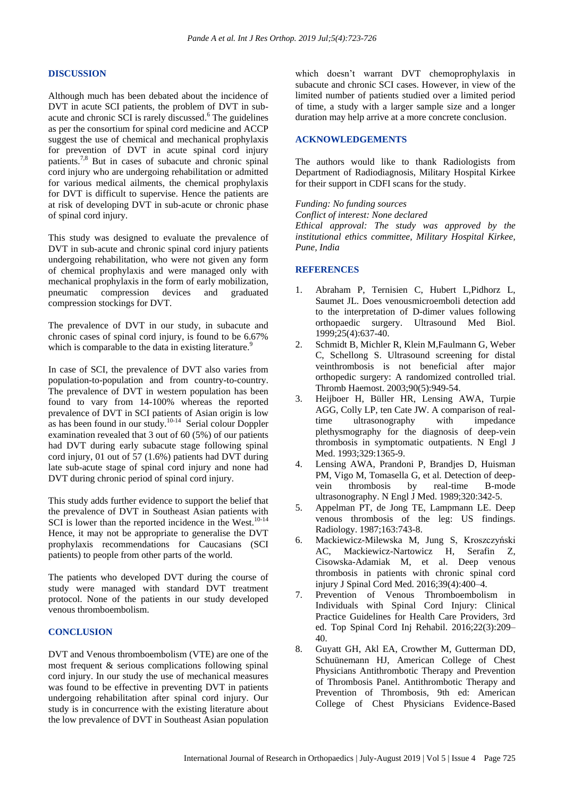## **DISCUSSION**

Although much has been debated about the incidence of DVT in acute SCI patients, the problem of DVT in subacute and chronic SCI is rarely discussed. <sup>6</sup> The guidelines as per the consortium for spinal cord medicine and ACCP suggest the use of chemical and mechanical prophylaxis for prevention of DVT in acute spinal cord injury patients.7,8 But in cases of subacute and chronic spinal cord injury who are undergoing rehabilitation or admitted for various medical ailments, the chemical prophylaxis for DVT is difficult to supervise. Hence the patients are at risk of developing DVT in sub-acute or chronic phase of spinal cord injury.

This study was designed to evaluate the prevalence of DVT in sub-acute and chronic spinal cord injury patients undergoing rehabilitation, who were not given any form of chemical prophylaxis and were managed only with mechanical prophylaxis in the form of early mobilization, pneumatic compression devices and graduated compression stockings for DVT.

The prevalence of DVT in our study, in subacute and chronic cases of spinal cord injury, is found to be 6.67% which is comparable to the data in existing literature.<sup>9</sup>

In case of SCI, the prevalence of DVT also varies from population-to-population and from country-to-country. The prevalence of DVT in western population has been found to vary from 14-100% whereas the reported prevalence of DVT in SCI patients of Asian origin is low as has been found in our study.10-14 Serial colour Doppler examination revealed that 3 out of 60 (5%) of our patients had DVT during early subacute stage following spinal cord injury, 01 out of 57 (1.6%) patients had DVT during late sub-acute stage of spinal cord injury and none had DVT during chronic period of spinal cord injury.

This study adds further evidence to support the belief that the prevalence of DVT in Southeast Asian patients with SCI is lower than the reported incidence in the West. $10^{-14}$ Hence, it may not be appropriate to generalise the DVT prophylaxis recommendations for Caucasians (SCI patients) to people from other parts of the world.

The patients who developed DVT during the course of study were managed with standard DVT treatment protocol. None of the patients in our study developed venous thromboembolism.

#### **CONCLUSION**

DVT and Venous thromboembolism (VTE) are one of the most frequent & serious complications following spinal cord injury. In our study the use of mechanical measures was found to be effective in preventing DVT in patients undergoing rehabilitation after spinal cord injury. Our study is in concurrence with the existing literature about the low prevalence of DVT in Southeast Asian population which doesn't warrant DVT chemoprophylaxis in subacute and chronic SCI cases. However, in view of the limited number of patients studied over a limited period of time, a study with a larger sample size and a longer duration may help arrive at a more concrete conclusion.

## **ACKNOWLEDGEMENTS**

The authors would like to thank Radiologists from Department of Radiodiagnosis, Military Hospital Kirkee for their support in CDFI scans for the study.

*Funding: No funding sources Conflict of interest: None declared Ethical approval: The study was approved by the institutional ethics committee, Military Hospital Kirkee,* 

## **REFERENCES**

*Pune, India*

- 1. Abraham P, Ternisien C, Hubert L,Pidhorz L, Saumet JL. Does venousmicroemboli detection add to the interpretation of D-dimer values following orthopaedic surgery. Ultrasound Med Biol. 1999;25(4):637-40.
- 2. Schmidt B, Michler R, Klein M,Faulmann G, Weber C, Schellong S. Ultrasound screening for distal veinthrombosis is not beneficial after major orthopedic surgery: A randomized controlled trial. Thromb Haemost. 2003;90(5):949-54.
- 3. Heijboer H, Büller HR, Lensing AWA, Turpie AGG, Colly LP, ten Cate JW. A comparison of realtime ultrasonography with impedance plethysmography for the diagnosis of deep-vein thrombosis in symptomatic outpatients. N Engl J Med. 1993;329:1365-9.
- 4. Lensing AWA, Prandoni P, Brandjes D, Huisman PM, Vigo M, Tomasella G, et al. Detection of deepvein thrombosis by real-time B-mode ultrasonography. N Engl J Med. 1989;320:342-5.
- 5. Appelman PT, de Jong TE, Lampmann LE. Deep venous thrombosis of the leg: US findings. Radiology. 1987;163:743-8.
- 6. Mackiewicz-Milewska M, Jung S, Kroszczyński AC, Mackiewicz-Nartowicz H, Serafin Z, Cisowska-Adamiak M, et al. Deep venous thrombosis in patients with chronic spinal cord injury J Spinal Cord Med. 2016;39(4):400–4.
- 7. Prevention of Venous Thromboembolism in Individuals with Spinal Cord Injury: Clinical Practice Guidelines for Health Care Providers, 3rd ed. Top Spinal Cord Inj Rehabil. 2016;22(3):209– 40.
- 8. Guyatt GH, Akl EA, Crowther M, Gutterman DD, Schuünemann HJ, American College of Chest Physicians Antithrombotic Therapy and Prevention of Thrombosis Panel. Antithrombotic Therapy and Prevention of Thrombosis, 9th ed: American College of Chest Physicians Evidence-Based